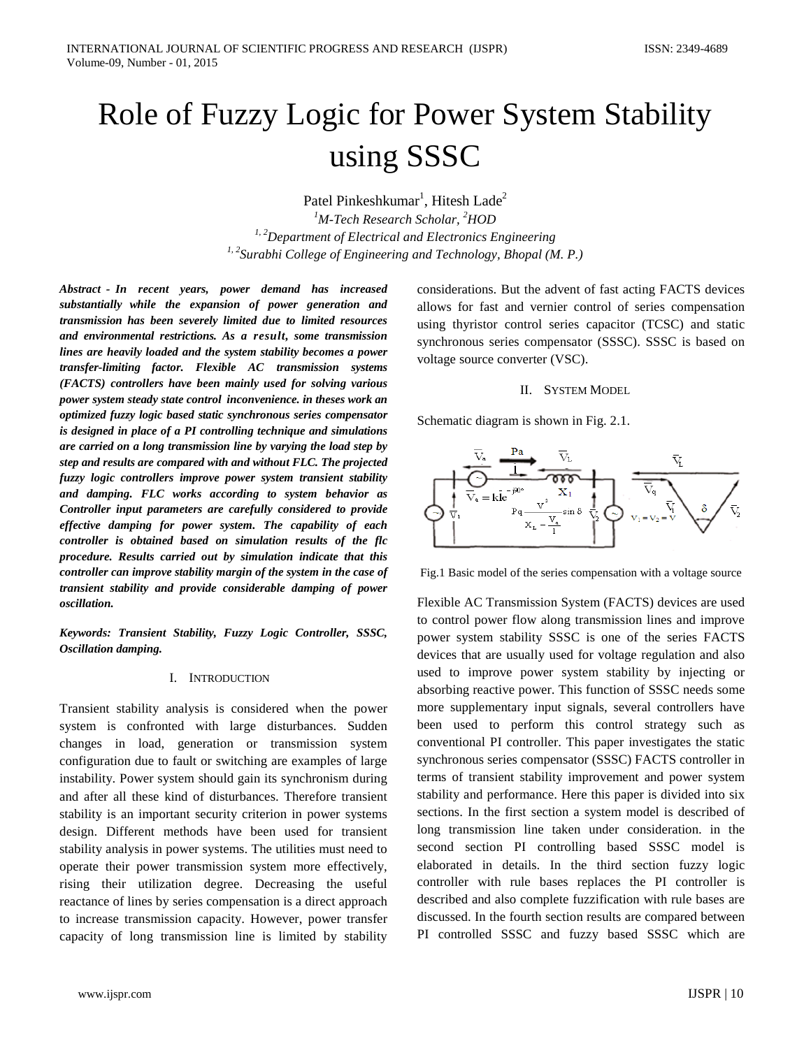# Role of Fuzzy Logic for Power System Stability using SSSC

Patel Pinkeshkumar<sup>1</sup>, Hitesh Lade<sup>2</sup>

*1 M-Tech Research Scholar, 2 HOD 1, 2Department of Electrical and Electronics Engineering 1, 2Surabhi College of Engineering and Technology, Bhopal (M. P.)*

*Abstract - In recent years, power demand has increased substantially while the expansion of power generation and transmission has been severely limited due to limited resources and environmental restrictions. As a result, some transmission lines are heavily loaded and the system stability becomes a power transfer-limiting factor. Flexible AC transmission systems (FACTS) controllers have been mainly used for solving various power system steady state control inconvenience. in theses work an optimized fuzzy logic based static synchronous series compensator is designed in place of a PI controlling technique and simulations are carried on a long transmission line by varying the load step by step and results are compared with and without FLC. The projected fuzzy logic controllers improve power system transient stability and damping. FLC works according to system behavior as Controller input parameters are carefully considered to provide effective damping for power system. The capability of each controller is obtained based on simulation results of the flc procedure. Results carried out by simulation indicate that this controller can improve stability margin of the system in the case of transient stability and provide considerable damping of power oscillation.*

*Keywords: Transient Stability, Fuzzy Logic Controller, SSSC, Oscillation damping.*

## I. INTRODUCTION

Transient stability analysis is considered when the power system is confronted with large disturbances. Sudden changes in load, generation or transmission system configuration due to fault or switching are examples of large instability. Power system should gain its synchronism during and after all these kind of disturbances. Therefore transient stability is an important security criterion in power systems design. Different methods have been used for transient stability analysis in power systems. The utilities must need to operate their power transmission system more effectively, rising their utilization degree. Decreasing the useful reactance of lines by series compensation is a direct approach to increase transmission capacity. However, power transfer capacity of long transmission line is limited by stability considerations. But the advent of fast acting FACTS devices allows for fast and vernier control of series compensation using thyristor control series capacitor (TCSC) and static synchronous series compensator (SSSC). SSSC is based on voltage source converter (VSC).

## II. SYSTEM MODEL

Schematic diagram is shown in Fig. 2.1.



Fig.1 Basic model of the series compensation with a voltage source

Flexible AC Transmission System (FACTS) devices are used to control power flow along transmission lines and improve power system stability SSSC is one of the series FACTS devices that are usually used for voltage regulation and also used to improve power system stability by injecting or absorbing reactive power. This function of SSSC needs some more supplementary input signals, several controllers have been used to perform this control strategy such as conventional PI controller. This paper investigates the static synchronous series compensator (SSSC) FACTS controller in terms of transient stability improvement and power system stability and performance. Here this paper is divided into six sections. In the first section a system model is described of long transmission line taken under consideration. in the second section PI controlling based SSSC model is elaborated in details. In the third section fuzzy logic controller with rule bases replaces the PI controller is described and also complete fuzzification with rule bases are discussed. In the fourth section results are compared between PI controlled SSSC and fuzzy based SSSC which are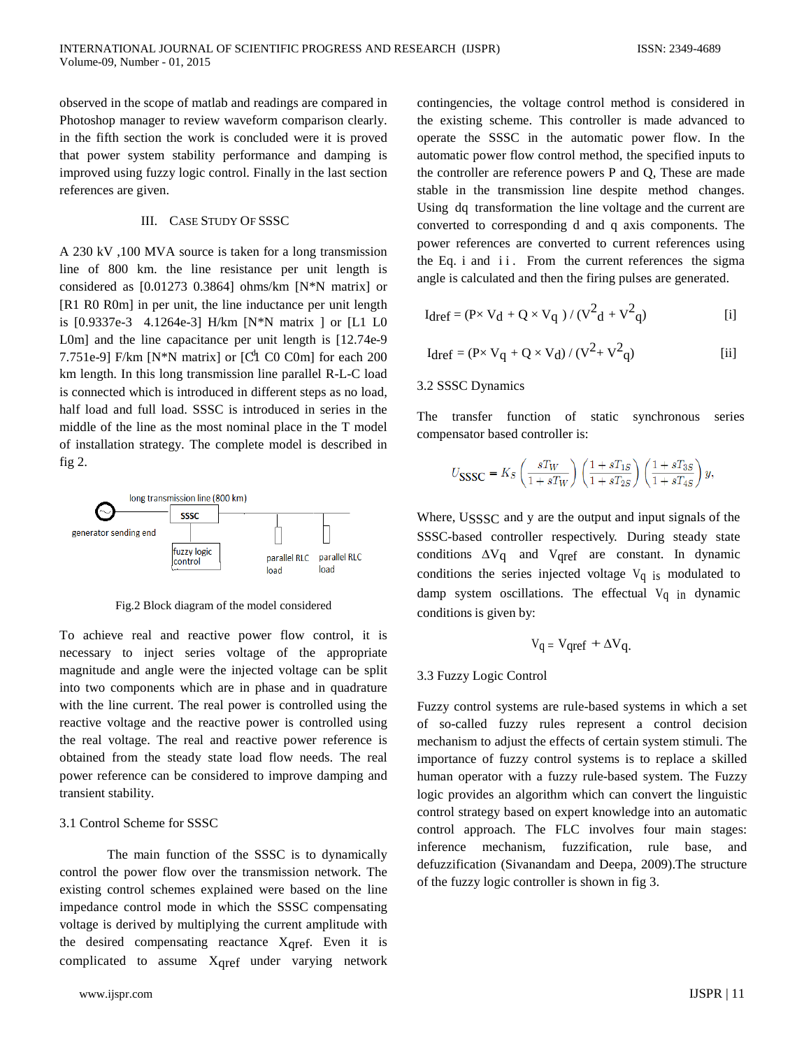observed in the scope of matlab and readings are compared in Photoshop manager to review waveform comparison clearly. in the fifth section the work is concluded were it is proved that power system stability performance and damping is improved using fuzzy logic control. Finally in the last section references are given.

## III. CASE STUDY OF SSSC

7.751e-9] F/km [N\*N matrix] or [C<sup>t</sup>l C0 C0m] for each 200 A 230 kV ,100 MVA source is taken for a long transmission line of 800 km. the line resistance per unit length is considered as [0.01273 0.3864] ohms/km [N\*N matrix] or [R1 R0 R0m] in per unit, the line inductance per unit length is [0.9337e-3 4.1264e-3] H/km [N\*N matrix ] or [L1 L0 L0m] and the line capacitance per unit length is [12.74e-9 km length. In this long transmission line parallel R-L-C load is connected which is introduced in different steps as no load, half load and full load. SSSC is introduced in series in the middle of the line as the most nominal place in the T model of installation strategy. The complete model is described in fig 2.



Fig.2 Block diagram of the model considered

To achieve real and reactive power flow control, it is necessary to inject series voltage of the appropriate magnitude and angle were the injected voltage can be split into two components which are in phase and in quadrature with the line current. The real power is controlled using the reactive voltage and the reactive power is controlled using the real voltage. The real and reactive power reference is obtained from the steady state load flow needs. The real power reference can be considered to improve damping and transient stability.

## 3.1 Control Scheme for SSSC

The main function of the SSSC is to dynamically control the power flow over the transmission network. The existing control schemes explained were based on the line impedance control mode in which the SSSC compensating voltage is derived by multiplying the current amplitude with the desired compensating reactance  $X<sub>gref.</sub>$  Even it is complicated to assume Xqref under varying network

contingencies, the voltage control method is considered in the existing scheme. This controller is made advanced to operate the SSSC in the automatic power flow. In the automatic power flow control method, the specified inputs to the controller are reference powers P and Q, These are made stable in the transmission line despite method changes. Using dq transformation the line voltage and the current are converted to corresponding d and q axis components. The power references are converted to current references using the Eq. i and ii. From the current references the sigma angle is calculated and then the firing pulses are generated.

$$
I_{dref} = (P \times V_d + Q \times V_q) / (V^2_d + V^2_q)
$$
 [i]

$$
I_{dref} = (P \times V_q + Q \times V_d) / (V^2 + V^2_q)
$$
 [ii]

## 3.2 SSSC Dynamics

The transfer function of static synchronous series compensator based controller is:

$$
U_{\mbox{\small SSSC}}=K_S\left(\frac{sT_W}{1+sT_W}\right)\left(\frac{1+sT_{1S}}{1+sT_{2S}}\right)\left(\frac{1+sT_{3S}}{1+sT_{4S}}\right)y,
$$

Where, USSSC and y are the output and input signals of the SSSC-based controller respectively. During steady state conditions  $\Delta V_q$  and  $V_{qref}$  are constant. In dynamic conditions the series injected voltage  $V_q$  is modulated to damp system oscillations. The effectual  $V_q$  in dynamic conditions is given by:

$$
V_q = V_{qref} + \Delta V_q.
$$

## 3.3 Fuzzy Logic Control

Fuzzy control systems are rule-based systems in which a set of so-called fuzzy rules represent a control decision mechanism to adjust the effects of certain system stimuli. The importance of fuzzy control systems is to replace a skilled human operator with a fuzzy rule-based system. The Fuzzy logic provides an algorithm which can convert the linguistic control strategy based on expert knowledge into an automatic control approach. The FLC involves four main stages: inference mechanism, fuzzification, rule base, and defuzzification (Sivanandam and Deepa, 2009).The structure of the fuzzy logic controller is shown in fig 3.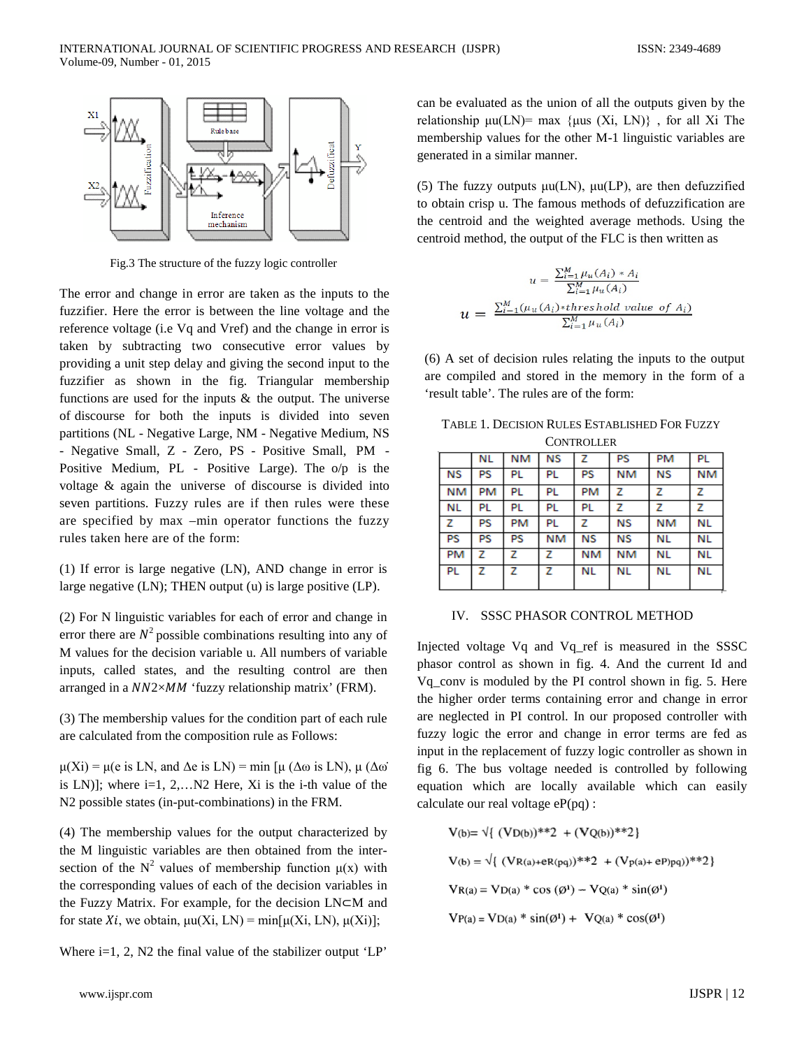

Fig.3 The structure of the fuzzy logic controller

The error and change in error are taken as the inputs to the fuzzifier. Here the error is between the line voltage and the reference voltage (i.e Vq and Vref) and the change in error is taken by subtracting two consecutive error values by providing a unit step delay and giving the second input to the fuzzifier as shown in the fig. Triangular membership functions are used for the inputs  $\&$  the output. The universe of discourse for both the inputs is divided into seven partitions (NL - Negative Large, NM - Negative Medium, NS - Negative Small, Z - Zero, PS - Positive Small, PM - Positive Medium, PL - Positive Large). The o/p is the voltage & again the universe of discourse is divided into seven partitions. Fuzzy rules are if then rules were these are specified by max –min operator functions the fuzzy rules taken here are of the form:

(1) If error is large negative (LN), AND change in error is large negative (LN); THEN output (u) is large positive (LP).

(2) For N linguistic variables for each of error and change in error there are  $N^2$  possible combinations resulting into any of M values for the decision variable u. All numbers of variable inputs, called states, and the resulting control are then arranged in a  $NN2\times MM$  'fuzzy relationship matrix' (FRM).

(3) The membership values for the condition part of each rule are calculated from the composition rule as Follows:

 $\mu(Xi) = \mu(e \text{ is LN}, \text{ and } \Delta e \text{ is LN}) = \min [\mu (\Delta \omega \text{ is LN}), \mu (\Delta \omega \text{)}]$ is LN)]; where  $i=1, 2,...N2$  Here, Xi is the *i*-th value of the N2 possible states (in-put-combinations) in the FRM.

(4) The membership values for the output characterized by the M linguistic variables are then obtained from the intersection of the  $N^2$  values of membership function  $\mu(x)$  with the corresponding values of each of the decision variables in the Fuzzy Matrix. For example, for the decision LN⊂M and for state  $Xi$ , we obtain,  $\mu u(Xi, LN) = \min[\mu(Xi, LN), \mu(Xi)]$ ;

Where  $i=1, 2, N2$  the final value of the stabilizer output 'LP'

can be evaluated as the union of all the outputs given by the relationship μu(LN)= max {μus (Xi, LN)}, for all Xi The membership values for the other M-1 linguistic variables are generated in a similar manner.

(5) The fuzzy outputs  $\mu$ u(LN),  $\mu$ u(LP), are then defuzzified to obtain crisp u. The famous methods of defuzzification are the centroid and the weighted average methods. Using the centroid method, the output of the FLC is then written as

$$
u = \frac{\sum_{i=1}^{M} \mu_u(A_i) * A_i}{\sum_{i=1}^{M} \mu_u(A_i)}
$$
  

$$
u = \frac{\sum_{i=1}^{M} (\mu_u(A_i) * thres hold value of A_i)}{\sum_{i=1}^{M} \mu_u(A_i)}
$$

(6) A set of decision rules relating the inputs to the output are compiled and stored in the memory in the form of a 'result table'. The rules are of the form:

| TABLE 1. DECISION RULES ESTABLISHED FOR FUZZY |
|-----------------------------------------------|
| <b>CONTROLLER</b>                             |

|           | NL        | NM        | <b>NS</b> | z         | PS        | <b>PM</b> | <b>PL</b> |
|-----------|-----------|-----------|-----------|-----------|-----------|-----------|-----------|
| <b>NS</b> | <b>PS</b> | PL        | PL        | <b>PS</b> | NM        | <b>NS</b> | NM        |
| <b>NM</b> | PM        | PL        | PL        | <b>PM</b> | z         | z         | z         |
| NL        | PL        | PL        | PL        | PL        | z         | z         | z         |
| z         | PS        | <b>PM</b> | PL        | z         | <b>NS</b> | NΜ        | NL        |
| PS        | PS        | <b>PS</b> | NM        | ΝS        | <b>NS</b> | NL        | NL        |
| <b>PM</b> | z         | z         | z         | NM        | NM        | NL        | NL        |
| PL        | z         | z         | z         | NL        | NL        | NL        | NL        |

## IV. SSSC PHASOR CONTROL METHOD

Injected voltage Vq and Vq\_ref is measured in the SSSC phasor control as shown in fig. 4. And the current Id and Vq\_conv is moduled by the PI control shown in fig. 5. Here the higher order terms containing error and change in error are neglected in PI control. In our proposed controller with fuzzy logic the error and change in error terms are fed as input in the replacement of fuzzy logic controller as shown in fig 6. The bus voltage needed is controlled by following equation which are locally available which can easily calculate our real voltage eP(pq) :

$$
V(b) = \sqrt{(VD(b))^{**}2 + (VQ(b))^{**}2}
$$
  
\n
$$
V(b) = \sqrt{(VR(a) + R(pq))^{**}2 + (Vp(a) + eP)pq)}^{**}2
$$
  
\n
$$
VR(a) = VD(a) * cos(\emptyset^1) - VQ(a) * sin(\emptyset^1)
$$
  
\n
$$
VP(a) = VD(a) * sin(\emptyset^1) + VQ(a) * cos(\emptyset^1)
$$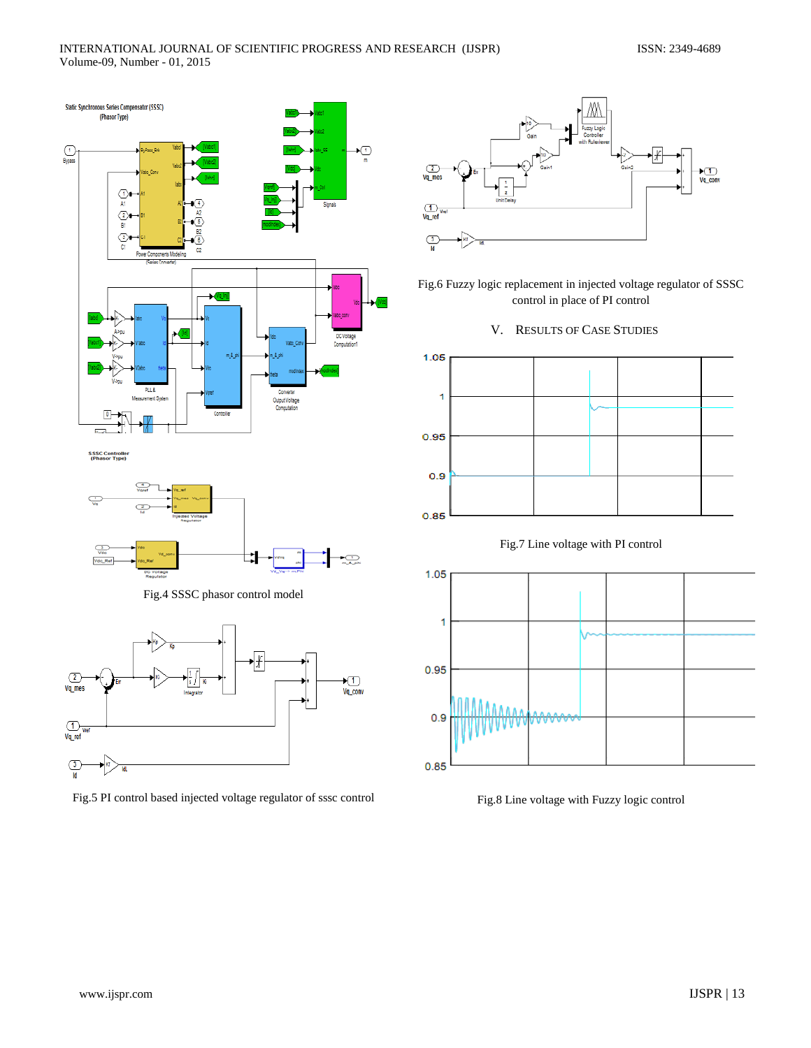

Fig.4 SSSC phasor control model



Fig.5 PI control based injected voltage regulator of sssc control



Fig.6 Fuzzy logic replacement in injected voltage regulator of SSSC control in place of PI control

V. RESULTS OF CASE STUDIES







Fig.8 Line voltage with Fuzzy logic control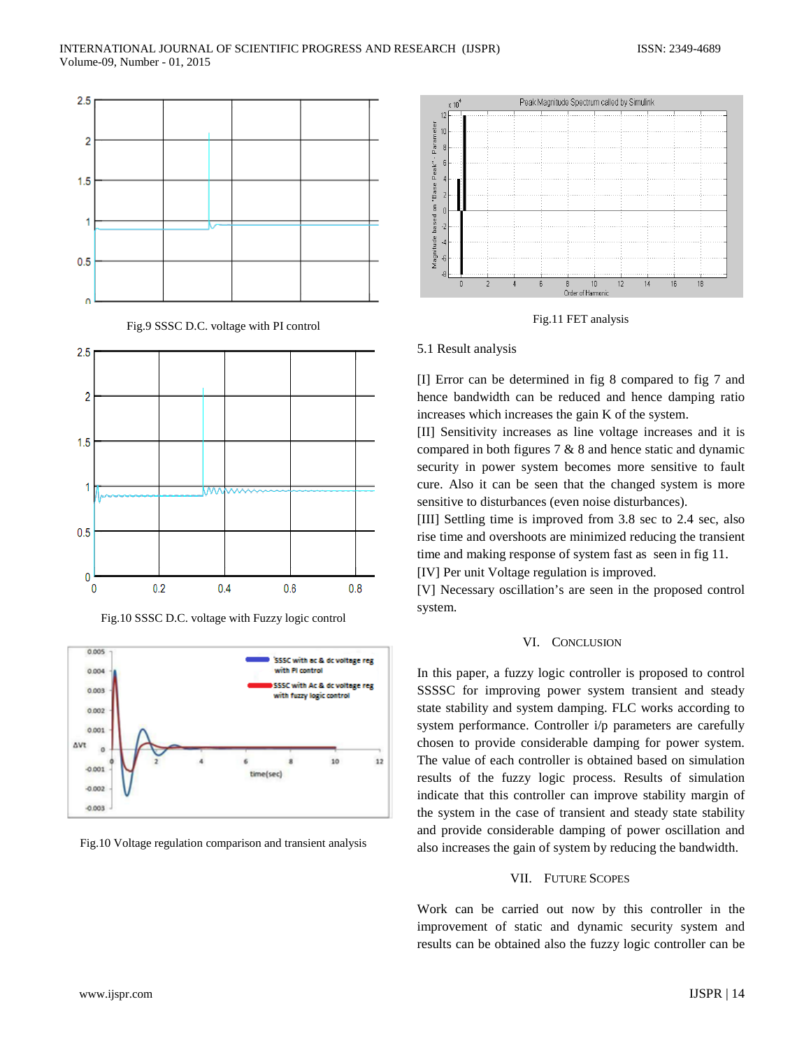

Fig.9 SSSC D.C. voltage with PI control



Fig.10 SSSC D.C. voltage with Fuzzy logic control



Fig.10 Voltage regulation comparison and transient analysis



Fig.11 FET analysis

#### 5.1 Result analysis

[I] Error can be determined in fig 8 compared to fig 7 and hence bandwidth can be reduced and hence damping ratio increases which increases the gain K of the system.

[II] Sensitivity increases as line voltage increases and it is compared in both figures 7 & 8 and hence static and dynamic security in power system becomes more sensitive to fault cure. Also it can be seen that the changed system is more sensitive to disturbances (even noise disturbances).

[III] Settling time is improved from 3.8 sec to 2.4 sec, also rise time and overshoots are minimized reducing the transient time and making response of system fast as seen in fig 11.

[IV] Per unit Voltage regulation is improved.

[V] Necessary oscillation's are seen in the proposed control system.

## VI. CONCLUSION

In this paper, a fuzzy logic controller is proposed to control SSSSC for improving power system transient and steady state stability and system damping. FLC works according to system performance. Controller i/p parameters are carefully chosen to provide considerable damping for power system. The value of each controller is obtained based on simulation results of the fuzzy logic process. Results of simulation indicate that this controller can improve stability margin of the system in the case of transient and steady state stability and provide considerable damping of power oscillation and also increases the gain of system by reducing the bandwidth.

#### VII. FUTURE SCOPES

Work can be carried out now by this controller in the improvement of static and dynamic security system and results can be obtained also the fuzzy logic controller can be